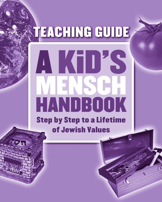# **TEACHING GUIDE** KUKS HANDBOOK **Step by Step to a Lifetime**

of Jewish Values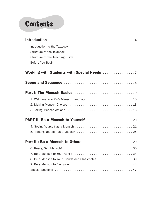## **Contents**

| Introduction to the Textbook                     |
|--------------------------------------------------|
| Structure of the Textbook                        |
| Structure of the Teaching Guide                  |
| Before You Begin                                 |
|                                                  |
|                                                  |
|                                                  |
| 1. Welcome to A Kid's Mensch Handbook  10        |
|                                                  |
|                                                  |
|                                                  |
|                                                  |
|                                                  |
|                                                  |
|                                                  |
|                                                  |
| 8. Be a Mensch to Your Friends and Classmates 39 |
|                                                  |
|                                                  |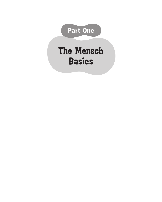

# The Mensch Basics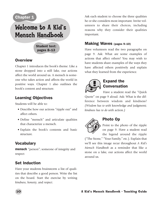#### **Chapter 1**

## Welcome to A Kid's Mensch Handbook

Student text: pages 8–13

#### **Overview**

Chapter 1 introduces the book's theme: Like a stone dropped into a still lake, our actions affect the world around us. A mensch is someone who takes action and affects the world in positive ways. Chapter 1 also outlines the book's content and structure.

#### Learning Objectives

Students will be able to:

- Describe how our actions "ripple out" and affect others.
- Define "mensch" and articulate qualities that characterize a mensch.
- Explain the book's contents and basic structure.

#### **Vocabulary**

**mensch** "person"; someone of integrity and respect

#### Set Induction

Have your students brainstorm a list of qualities that describe a good person. Write the list on the board. Start the exercise by writing *kindness*, *honesty*, and *respect*.

Ask each student to choose the three qualities he or she considers most important. Invite volunteers to share their choices, including reasons why they consider their qualities important.

#### Making Waves (pages 9–10)

Have volunteers read the two paragraphs on page 9. Ask: What are some examples of actions that affect others? You may wish to have students share examples of the ways they have affected others positively and explain what they learned from the experience.



#### Expand the Conversation

Have a student read the "Quick Quote" on page 9 aloud. Ask: What is the difference between wisdom and kindness? *(Wisdom has to with* knowledge *and* judgment*; kindness has to do with* action*.)*



#### Photo Op

Point to the photo of the ripple on page 9. Have a student read the legend around the ripple

("The Stone," "Your Family," etc.). Explain that we'll see this image recur throughout *A Kid's Mensch Handbook* as a reminder that like a stone on a lake, our actions affect the world around us.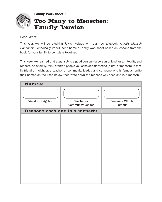

#### Family Worksheet 1 Too Many to Menschen: Family Version

Dear Parent:

This year, we will be studying Jewish values with our new textbook, *A Kid's Mensch Handbook*. Periodically we will send home a Family Worksheet based on lessons from the book for your family to complete together.

This week we learned that a *mensch* is a good person—a person of kindness, integrity, and respect. As a family, think of three people you consider *menschen* (plural of mensch): a family friend or neighbor, a teacher or community leader, and someone who is famous. Write their names on the lines below, then write down the reasons why each one is a mensch.

| Names:                        |                                       |                          |  |
|-------------------------------|---------------------------------------|--------------------------|--|
| <b>Friend or Neighbor</b>     | Teacher or<br><b>Community Leader</b> | Someone Who Is<br>Famous |  |
| Reasons each one is a mensch: |                                       |                          |  |
|                               |                                       |                          |  |
|                               |                                       |                          |  |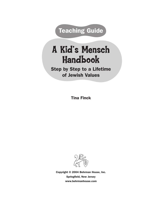**Teaching Guide** 

# A Kid's Mensch Handbook

Step by Step to a Lifetime of Jewish Values

Tina Finck



Copyright © 2004 Behrman House, Inc. Springfield, New Jersey www.behrmanhouse.com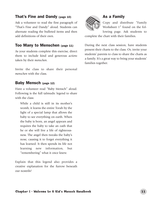#### That's Fine and Dandy (page 10)

Ask a volunteer to read the first paragraph of "That's Fine and Dandy" aloud. Students can alternate reading the bulleted items and then add definitions of their own.

#### Too Many to Menschen (page 11)

As your students complete this exercise, direct them to include kind and generous *actions* taken by their *menschen.*

Invite the class to share their personal *menschen* with the class.

#### Baby Mensch (page 12)

Have a volunteer read "Baby Mensch" aloud. Following is the full talmudic legend to share with the class:

While a child is still in its mother's womb, it learns the entire Torah by the light of a special lamp that allows the baby to see everything on earth. When the baby is born, an angel appears and requires the baby to take an oath that he or she will live a life of righteousness. The angel then tweaks the baby's nose, causing it to forget everything it has learned. It then spends its life not learning new information, but "remembering" what it once knew.

Explain that this legend also provides a creative explanation for the furrow beneath our nostrils!



#### As a Family

Copy and distribute "Family Worksheet 1" found on the following page. Ask students to

complete the chart with their families.

During the next class session, have students present their charts to the class. Or, invite your students' parents to class to share the charts as a family. It's a great way to bring your students' families together.